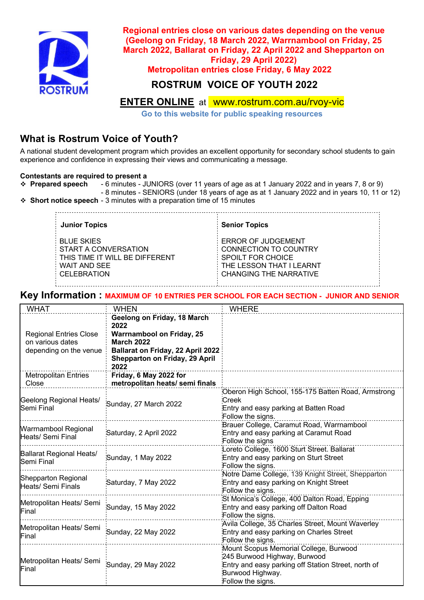

**Regional entries close on various dates depending on the venue (Geelong on Friday, 18 March 2022, Warrnambool on Friday, 25 March 2022, Ballarat on Friday, 22 April 2022 and Shepparton on Friday, 29 April 2022)**

**Metropolitan entries close Friday, 6 May 2022**

### **ROSTRUM VOICE OF YOUTH 2022**

## **ENTER ONLINE** at www.rostrum.com.au/rvoy-vic

**Go to this website for public speaking resources**

# **What is Rostrum Voice of Youth?**

A national student development program which provides an excellent opportunity for secondary school students to gain experience and confidence in expressing their views and communicating a message.

#### **Contestants are required to present a**

- v **Prepared speech** 6 minutes JUNIORS (over 11 years of age as at 1 January 2022 and in years 7, 8 or 9)
- 8 minutes SENIORS (under 18 years of age as at 1 January 2022 and in years 10, 11 or 12) **❖ Short notice speech** - 3 minutes with a preparation time of 15 minutes

| <b>Junior Topics</b>           | <b>Senior Topics</b>      |
|--------------------------------|---------------------------|
| <b>BLUE SKIES</b>              | <b>ERROR OF JUDGEMENT</b> |
| START A CONVERSATION           | CONNECTION TO COUNTRY     |
| THIS TIME IT WILL BE DIFFFRENT | SPOILT FOR CHOICE         |
| <b>WAIT AND SEE</b>            | THE LESSON THAT I LEARNT  |
| CELEBRATION                    | CHANGING THE NARRATIVE    |

#### **Key Information : MAXIMUM OF 10 ENTRIES PER SCHOOL FOR EACH SECTION - JUNIOR AND SENIOR**

| <b>WHAT</b>                                                                 | <b>WHEN</b>                                                                                                                                                                        | <b>WHERE</b>                                                                                                                                                           |
|-----------------------------------------------------------------------------|------------------------------------------------------------------------------------------------------------------------------------------------------------------------------------|------------------------------------------------------------------------------------------------------------------------------------------------------------------------|
| <b>Regional Entries Close</b><br>on various dates<br>depending on the venue | Geelong on Friday, 18 March<br>2022<br><b>Warrnambool on Friday, 25</b><br><b>March 2022</b><br><b>Ballarat on Friday, 22 April 2022</b><br>Shepparton on Friday, 29 April<br>2022 |                                                                                                                                                                        |
| <b>Metropolitan Entries</b><br>Close                                        | Friday, 6 May 2022 for<br>metropolitan heats/ semi finals                                                                                                                          |                                                                                                                                                                        |
| Geelong Regional Heats/<br>Semi Final                                       | Sunday, 27 March 2022                                                                                                                                                              | Oberon High School, 155-175 Batten Road, Armstrong<br>Creek<br>Entry and easy parking at Batten Road<br>Follow the signs.                                              |
| Warrnambool Regional<br>Heats/ Semi Final                                   | Saturday, 2 April 2022                                                                                                                                                             | Brauer College, Caramut Road, Warrnambool<br>Entry and easy parking at Caramut Road<br>Follow the signs                                                                |
| Ballarat Regional Heats/<br>Semi Final                                      | Sunday, 1 May 2022                                                                                                                                                                 | Loreto College, 1600 Sturt Street. Ballarat<br>Entry and easy parking on Sturt Street<br>Follow the signs.                                                             |
| Shepparton Regional<br>Heats/ Semi Finals                                   | Saturday, 7 May 2022                                                                                                                                                               | Notre Dame College, 139 Knight Street, Shepparton<br>Entry and easy parking on Knight Street<br>Follow the signs.                                                      |
| Metropolitan Heats/ Semi<br>Final                                           | Sunday, 15 May 2022                                                                                                                                                                | St Monica's College, 400 Dalton Road, Epping<br>Entry and easy parking off Dalton Road<br>Follow the signs.                                                            |
| Metropolitan Heats/ Semi<br>Final                                           | Sunday, 22 May 2022                                                                                                                                                                | Avila College, 35 Charles Street, Mount Waverley<br>Entry and easy parking on Charles Street<br>Follow the signs.                                                      |
| Metropolitan Heats/ Semi<br>Final                                           | Sunday, 29 May 2022                                                                                                                                                                | Mount Scopus Memorial College, Burwood<br>245 Burwood Highway, Burwood<br>Entry and easy parking off Station Street, north of<br>Burwood Highway.<br>Follow the signs. |